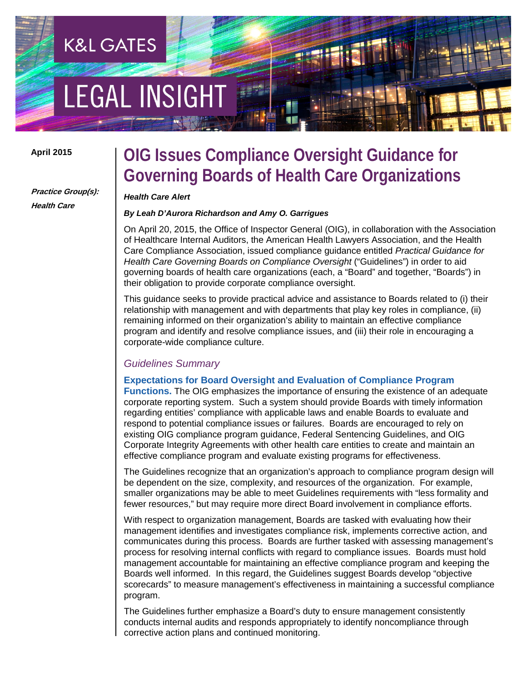# **EGAL INSIGHT**

**K&L GATES** 

### **April 2015**

# **Practice Group(s): Health Care**

# **OIG Issues Compliance Oversight Guidance for Governing Boards of Health Care Organizations**

#### *Health Care Alert*

## *By Leah D'Aurora Richardson and Amy O. Garrigues*

On April 20, 2015, the Office of Inspector General (OIG), in collaboration with the Association of Healthcare Internal Auditors, the American Health Lawyers Association, and the Health Care Compliance Association, issued compliance guidance entitled *Practical Guidance for Health Care Governing Boards on Compliance Oversight* ("Guidelines") in order to aid governing boards of health care organizations (each, a "Board" and together, "Boards") in their obligation to provide corporate compliance oversight.

This guidance seeks to provide practical advice and assistance to Boards related to (i) their relationship with management and with departments that play key roles in compliance, (ii) remaining informed on their organization's ability to maintain an effective compliance program and identify and resolve compliance issues, and (iii) their role in encouraging a corporate-wide compliance culture.

## *Guidelines Summary*

## **Expectations for Board Oversight and Evaluation of Compliance Program**

**Functions.** The OIG emphasizes the importance of ensuring the existence of an adequate corporate reporting system. Such a system should provide Boards with timely information regarding entities' compliance with applicable laws and enable Boards to evaluate and respond to potential compliance issues or failures. Boards are encouraged to rely on existing OIG compliance program guidance, Federal Sentencing Guidelines, and OIG Corporate Integrity Agreements with other health care entities to create and maintain an effective compliance program and evaluate existing programs for effectiveness.

The Guidelines recognize that an organization's approach to compliance program design will be dependent on the size, complexity, and resources of the organization. For example, smaller organizations may be able to meet Guidelines requirements with "less formality and fewer resources," but may require more direct Board involvement in compliance efforts.

With respect to organization management, Boards are tasked with evaluating how their management identifies and investigates compliance risk, implements corrective action, and communicates during this process. Boards are further tasked with assessing management's process for resolving internal conflicts with regard to compliance issues. Boards must hold management accountable for maintaining an effective compliance program and keeping the Boards well informed. In this regard, the Guidelines suggest Boards develop "objective scorecards" to measure management's effectiveness in maintaining a successful compliance program.

The Guidelines further emphasize a Board's duty to ensure management consistently conducts internal audits and responds appropriately to identify noncompliance through corrective action plans and continued monitoring.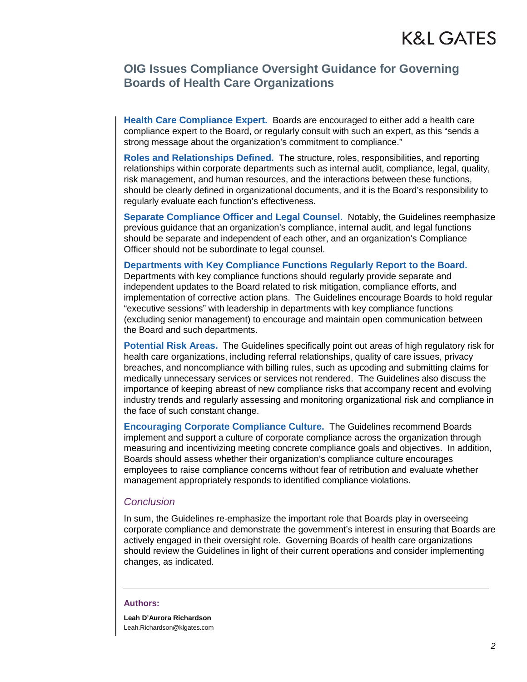# **OIG Issues Compliance Oversight Guidance for Governing Boards of Health Care Organizations**

**Health Care Compliance Expert.** Boards are encouraged to either add a health care compliance expert to the Board, or regularly consult with such an expert, as this "sends a strong message about the organization's commitment to compliance."

**Roles and Relationships Defined.** The structure, roles, responsibilities, and reporting relationships within corporate departments such as internal audit, compliance, legal, quality, risk management, and human resources, and the interactions between these functions, should be clearly defined in organizational documents, and it is the Board's responsibility to regularly evaluate each function's effectiveness.

**Separate Compliance Officer and Legal Counsel.** Notably, the Guidelines reemphasize previous guidance that an organization's compliance, internal audit, and legal functions should be separate and independent of each other, and an organization's Compliance Officer should not be subordinate to legal counsel.

# **Departments with Key Compliance Functions Regularly Report to the Board.**

Departments with key compliance functions should regularly provide separate and independent updates to the Board related to risk mitigation, compliance efforts, and implementation of corrective action plans. The Guidelines encourage Boards to hold regular "executive sessions" with leadership in departments with key compliance functions (excluding senior management) to encourage and maintain open communication between the Board and such departments.

**Potential Risk Areas.** The Guidelines specifically point out areas of high regulatory risk for health care organizations, including referral relationships, quality of care issues, privacy breaches, and noncompliance with billing rules, such as upcoding and submitting claims for medically unnecessary services or services not rendered. The Guidelines also discuss the importance of keeping abreast of new compliance risks that accompany recent and evolving industry trends and regularly assessing and monitoring organizational risk and compliance in the face of such constant change.

**Encouraging Corporate Compliance Culture.** The Guidelines recommend Boards implement and support a culture of corporate compliance across the organization through measuring and incentivizing meeting concrete compliance goals and objectives. In addition, Boards should assess whether their organization's compliance culture encourages employees to raise compliance concerns without fear of retribution and evaluate whether management appropriately responds to identified compliance violations.

# *Conclusion*

In sum, the Guidelines re-emphasize the important role that Boards play in overseeing corporate compliance and demonstrate the government's interest in ensuring that Boards are actively engaged in their oversight role. Governing Boards of health care organizations should review the Guidelines in light of their current operations and consider implementing changes, as indicated.

#### **Authors:**

**Leah D'Aurora Richardson** Leah.Richardson@klgates.com